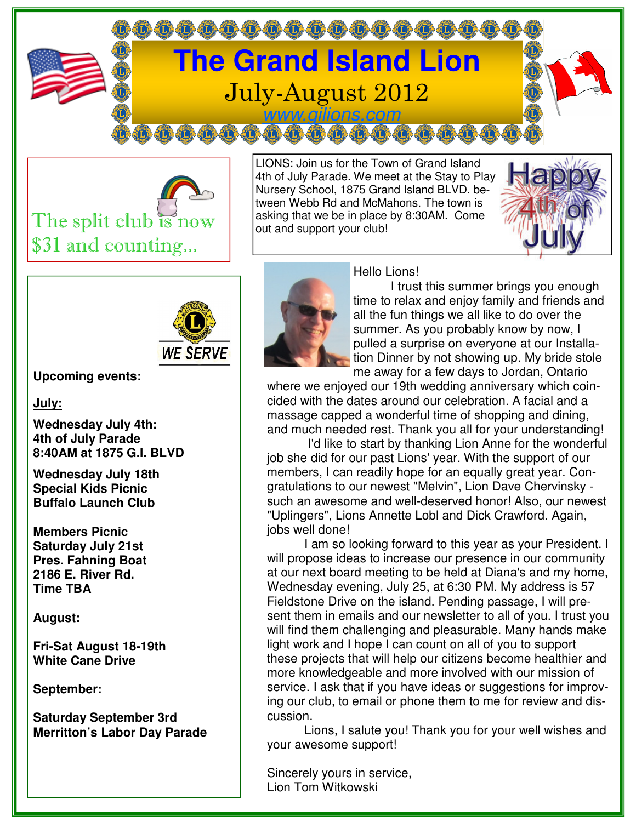



LIONS: Join us for the Town of Grand Island 4th of July Parade. We meet at the Stay to Play Nursery School, 1875 Grand Island BLVD. between Webb Rd and McMahons. The town is asking that we be in place by 8:30AM. Come out and support your club!





**Upcoming events:** 

**July:**

**Wednesday July 4th: 4th of July Parade 8:40AM at 1875 G.I. BLVD** 

**Wednesday July 18th Special Kids Picnic Buffalo Launch Club** 

**Members Picnic Saturday July 21st Pres. Fahning Boat 2186 E. River Rd. Time TBA** 

**August:** 

**Fri-Sat August 18-19th White Cane Drive** 

**September:** 

**Saturday September 3rd Merritton's Labor Day Parade** 



Hello Lions!

 I trust this summer brings you enough time to relax and enjoy family and friends and all the fun things we all like to do over the summer. As you probably know by now, I pulled a surprise on everyone at our Installation Dinner by not showing up. My bride stole me away for a few days to Jordan, Ontario

where we enjoyed our 19th wedding anniversary which coincided with the dates around our celebration. A facial and a massage capped a wonderful time of shopping and dining, and much needed rest. Thank you all for your understanding!

 I'd like to start by thanking Lion Anne for the wonderful job she did for our past Lions' year. With the support of our members, I can readily hope for an equally great year. Congratulations to our newest "Melvin", Lion Dave Chervinsky such an awesome and well-deserved honor! Also, our newest "Uplingers", Lions Annette Lobl and Dick Crawford. Again, jobs well done!

 I am so looking forward to this year as your President. I will propose ideas to increase our presence in our community at our next board meeting to be held at Diana's and my home, Wednesday evening, July 25, at 6:30 PM. My address is 57 Fieldstone Drive on the island. Pending passage, I will present them in emails and our newsletter to all of you. I trust you will find them challenging and pleasurable. Many hands make light work and I hope I can count on all of you to support these projects that will help our citizens become healthier and more knowledgeable and more involved with our mission of service. I ask that if you have ideas or suggestions for improving our club, to email or phone them to me for review and discussion.

 Lions, I salute you! Thank you for your well wishes and your awesome support!

Sincerely yours in service, Lion Tom Witkowski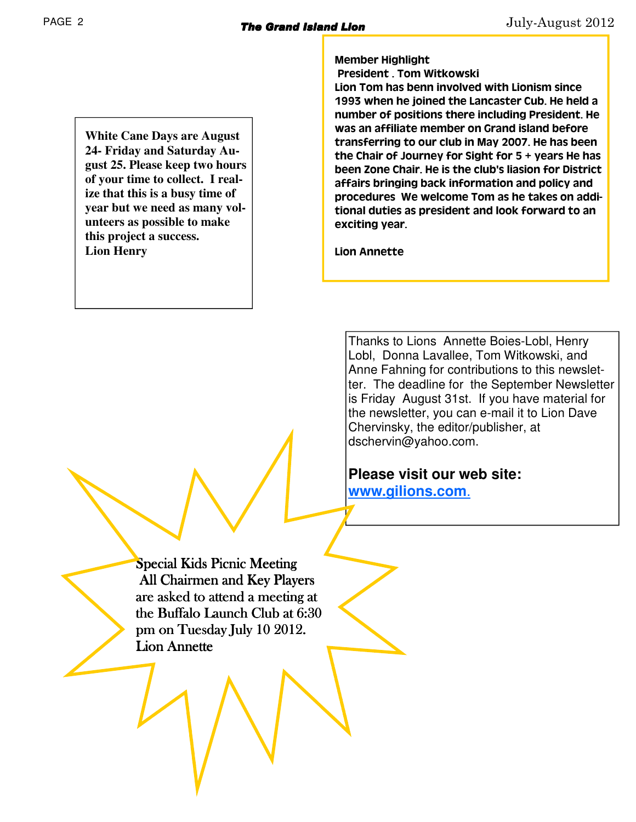**White Cane Days are August 24- Friday and Saturday August 25. Please keep two hours of your time to collect. I realize that this is a busy time of year but we need as many volunteers as possible to make this project a success. Lion Henry** 

Member Highlight

President . Tom Witkowski

Lion Tom has benn involved with Lionism since 1993 when he joined the Lancaster Cub. He held a number of positions there including President. He was an affiliate member on Grand island before transferring to our club in May 2007. He has been the Chair of Journey for Sight for 5 + years He has been Zone Chair. He is the club's liasion for District affairs bringing back information and policy and procedures We welcome Tom as he takes on additional duties as president and look forward to an exciting year.

Lion Annette

Thanks to Lions Annette Boies-Lobl, Henry Lobl, Donna Lavallee, Tom Witkowski, and Anne Fahning for contributions to this newsletter. The deadline for the September Newsletter is Friday August 31st. If you have material for the newsletter, you can e-mail it to Lion Dave Chervinsky, the editor/publisher, at dschervin@yahoo.com.

**Please visit our web site: www.gilions.com**.

Special Kids Picnic Meeting All Chairmen and Key Players are asked to attend a meeting at the Buffalo Launch Club at 6:30 pm on Tuesday July 10 2012. Lion Annette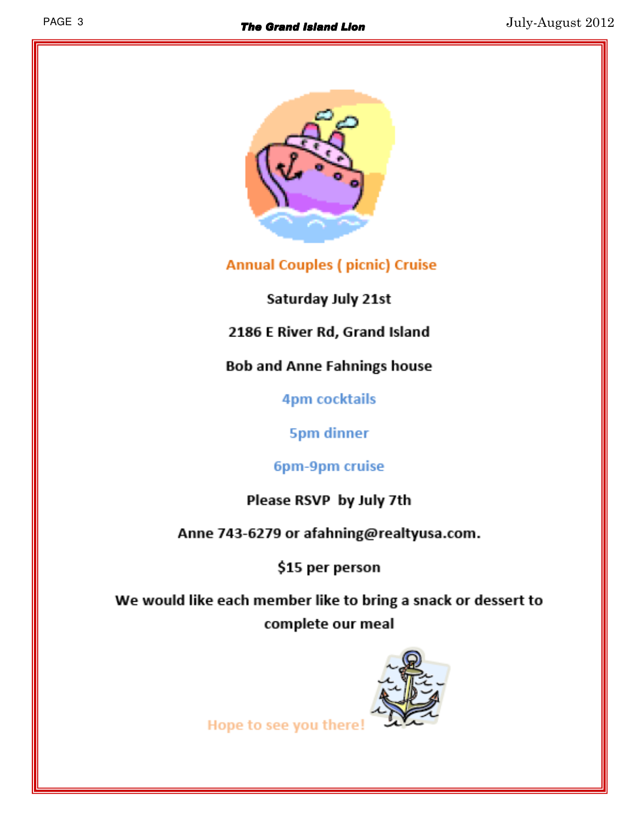

**Annual Couples (picnic) Cruise** 

Saturday July 21st

2186 E River Rd, Grand Island

**Bob and Anne Fahnings house** 

**4pm cocktails** 

**5pm dinner** 

6pm-9pm cruise

Please RSVP by July 7th

Anne 743-6279 or afahning@realtyusa.com.

\$15 per person

We would like each member like to bring a snack or dessert to complete our meal



Hope to see you there!